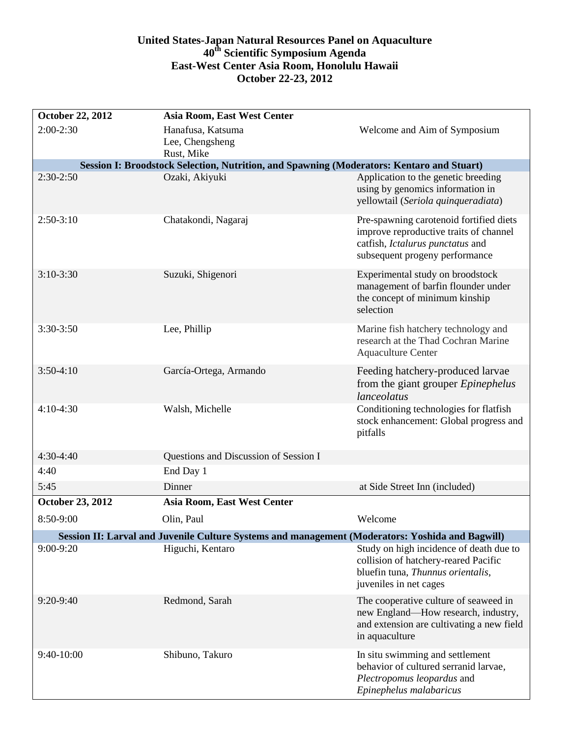## **United States-Japan Natural Resources Panel on Aquaculture 40th Scientific Symposium Agenda East-West Center Asia Room, Honolulu Hawaii October 22-23, 2012**

| October 22, 2012                                                                                        | <b>Asia Room, East West Center</b>    |                                                                           |  |
|---------------------------------------------------------------------------------------------------------|---------------------------------------|---------------------------------------------------------------------------|--|
| $2:00-2:30$                                                                                             | Hanafusa, Katsuma                     | Welcome and Aim of Symposium                                              |  |
|                                                                                                         | Lee, Chengsheng                       |                                                                           |  |
| Rust, Mike<br>Session I: Broodstock Selection, Nutrition, and Spawning (Moderators: Kentaro and Stuart) |                                       |                                                                           |  |
| $2:30-2:50$                                                                                             | Ozaki, Akiyuki                        | Application to the genetic breeding                                       |  |
|                                                                                                         |                                       | using by genomics information in                                          |  |
|                                                                                                         |                                       | yellowtail (Seriola quinqueradiata)                                       |  |
| $2:50-3:10$                                                                                             | Chatakondi, Nagaraj                   | Pre-spawning carotenoid fortified diets                                   |  |
|                                                                                                         |                                       | improve reproductive traits of channel                                    |  |
|                                                                                                         |                                       | catfish, Ictalurus punctatus and                                          |  |
|                                                                                                         |                                       | subsequent progeny performance                                            |  |
| $3:10-3:30$                                                                                             | Suzuki, Shigenori                     | Experimental study on broodstock                                          |  |
|                                                                                                         |                                       | management of barfin flounder under<br>the concept of minimum kinship     |  |
|                                                                                                         |                                       | selection                                                                 |  |
| $3:30-3:50$                                                                                             | Lee, Phillip                          | Marine fish hatchery technology and                                       |  |
|                                                                                                         |                                       | research at the Thad Cochran Marine                                       |  |
|                                                                                                         |                                       | <b>Aquaculture Center</b>                                                 |  |
| $3:50-4:10$                                                                                             | García-Ortega, Armando                | Feeding hatchery-produced larvae                                          |  |
|                                                                                                         |                                       | from the giant grouper <i>Epinephelus</i>                                 |  |
|                                                                                                         |                                       | lanceolatus                                                               |  |
| $4:10-4:30$                                                                                             | Walsh, Michelle                       | Conditioning technologies for flatfish                                    |  |
|                                                                                                         |                                       | stock enhancement: Global progress and<br>pitfalls                        |  |
|                                                                                                         |                                       |                                                                           |  |
| 4:30-4:40                                                                                               | Questions and Discussion of Session I |                                                                           |  |
| 4:40                                                                                                    | End Day 1                             |                                                                           |  |
| 5:45                                                                                                    | Dinner                                | at Side Street Inn (included)                                             |  |
| October 23, 2012                                                                                        | Asia Room, East West Center           |                                                                           |  |
| 8:50-9:00                                                                                               | Olin, Paul                            | Welcome                                                                   |  |
| Session II: Larval and Juvenile Culture Systems and management (Moderators: Yoshida and Bagwill)        |                                       |                                                                           |  |
| $9:00-9:20$                                                                                             | Higuchi, Kentaro                      | Study on high incidence of death due to                                   |  |
|                                                                                                         |                                       | collision of hatchery-reared Pacific<br>bluefin tuna, Thunnus orientalis, |  |
|                                                                                                         |                                       | juveniles in net cages                                                    |  |
| 9:20-9:40                                                                                               | Redmond, Sarah                        | The cooperative culture of seaweed in                                     |  |
|                                                                                                         |                                       | new England—How research, industry,                                       |  |
|                                                                                                         |                                       | and extension are cultivating a new field                                 |  |
|                                                                                                         |                                       | in aquaculture                                                            |  |
| 9:40-10:00                                                                                              | Shibuno, Takuro                       | In situ swimming and settlement                                           |  |
|                                                                                                         |                                       | behavior of cultured serranid larvae,<br>Plectropomus leopardus and       |  |
|                                                                                                         |                                       | Epinephelus malabaricus                                                   |  |